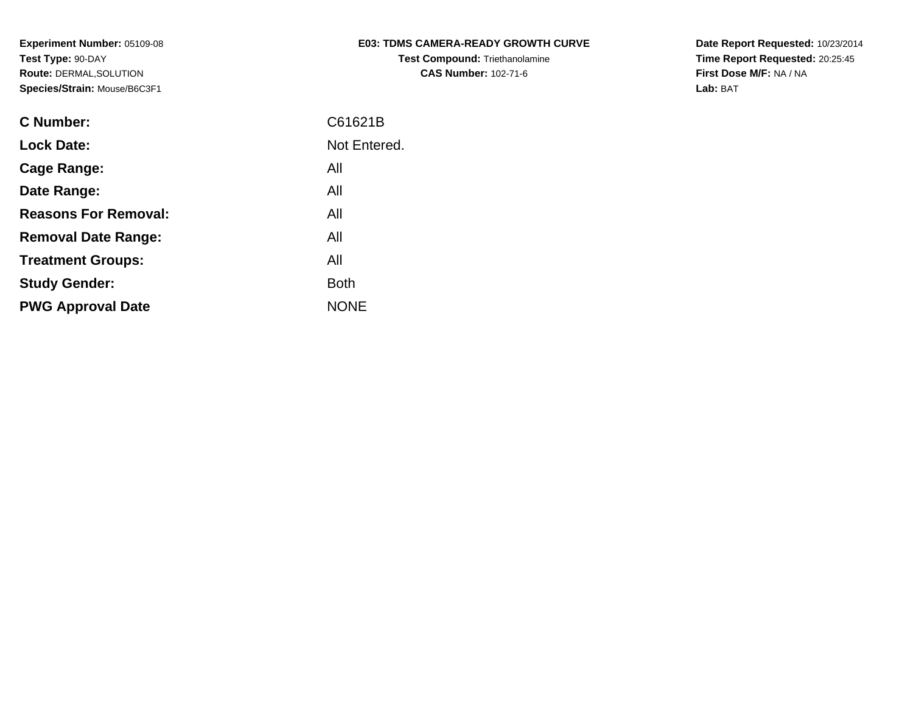| <b>E03: TDMS CAMERA-READY GROWTH CURVE</b> |
|--------------------------------------------|
| <b>Test Compound: Triethanolamine</b>      |
| <b>CAS Number: 102-71-6</b>                |

**Date Report Requested:** 10/23/2014 **Time Report Requested:** 20:25:45**First Dose M/F:** NA / NA**Lab:** BAT

| <b>C</b> Number:            | C61621B      |
|-----------------------------|--------------|
| <b>Lock Date:</b>           | Not Entered. |
| <b>Cage Range:</b>          | All          |
| Date Range:                 | All          |
| <b>Reasons For Removal:</b> | All          |
| <b>Removal Date Range:</b>  | All          |
| <b>Treatment Groups:</b>    | All          |
| <b>Study Gender:</b>        | <b>Both</b>  |
| <b>PWG Approval Date</b>    | <b>NONE</b>  |
|                             |              |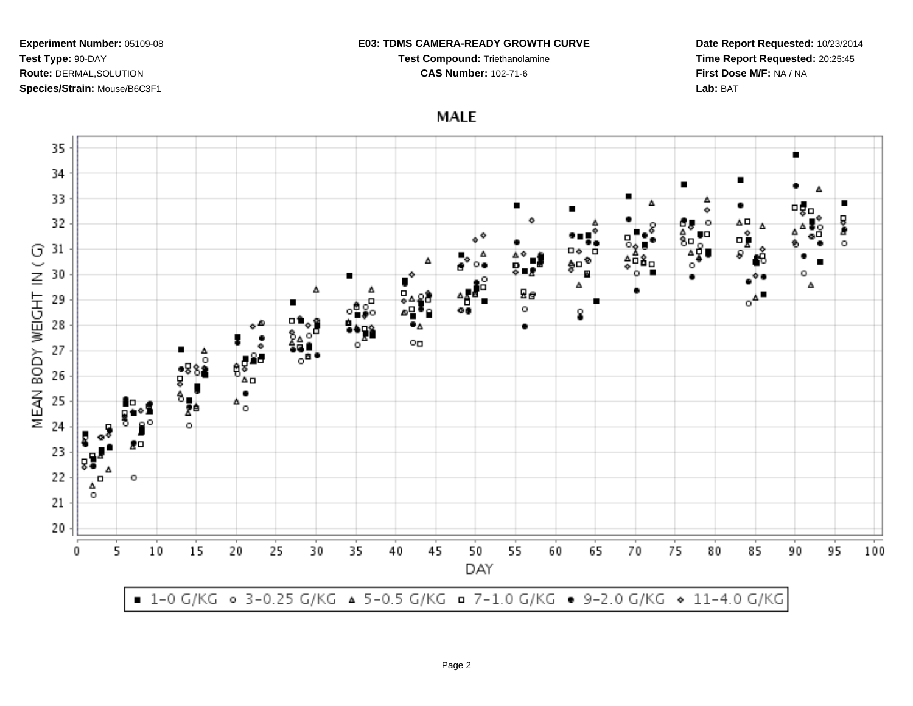### **E03: TDMS CAMERA-READY GROWTH CURVE**

**Test Compound:** Triethanolamine

**CAS Number:** 102-71-6

**Date Report Requested:** 10/23/2014**Time Report Requested:** 20:25:45**First Dose M/F:** NA / NA**Lab:** BAT

**MALE** 

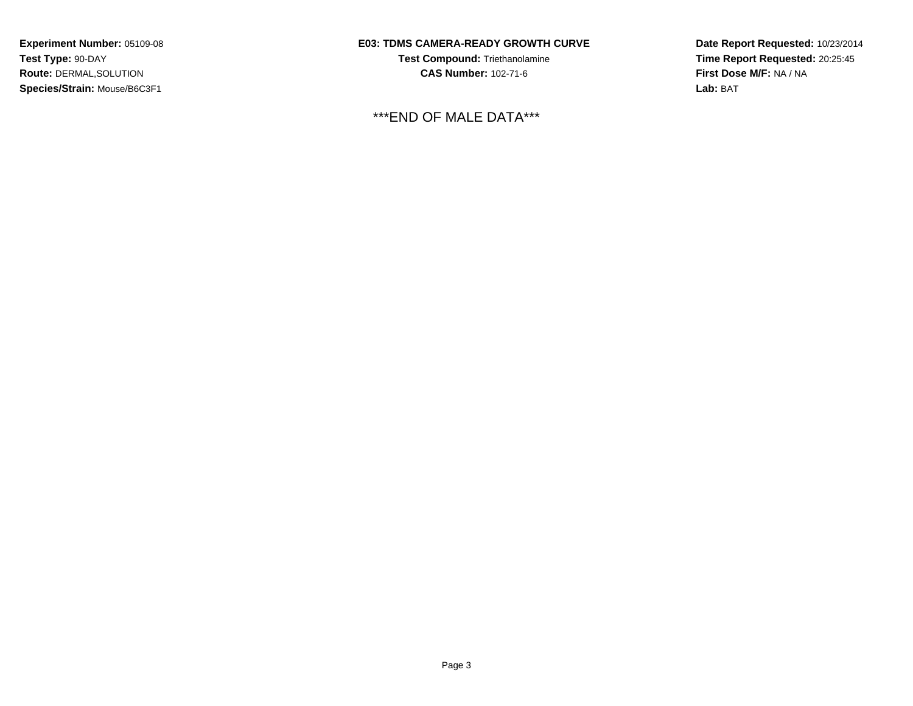## **E03: TDMS CAMERA-READY GROWTH CURVE**

**Test Compound:** Triethanolamine**CAS Number:** 102-71-6

\*\*\*END OF MALE DATA\*\*\*

**Date Report Requested:** 10/23/2014**Time Report Requested:** 20:25:45**First Dose M/F:** NA / NA**Lab:** BAT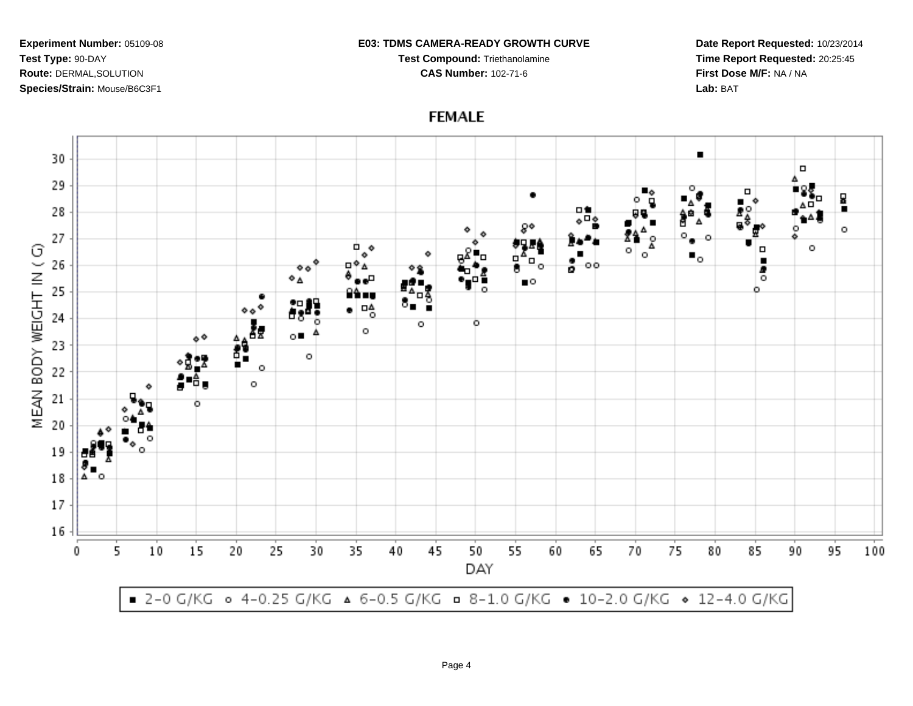#### **E03: TDMS CAMERA-READY GROWTH CURVE**

**Test Compound:** Triethanolamine**CAS Number:** 102-71-6

**Date Report Requested:** 10/23/2014**Time Report Requested:** 20:25:45**First Dose M/F:** NA / NA**Lab:** BAT

 $\blacksquare$ 30  $\Box$ 29 п ٠ 딣 28 пt . 80  $\circ$  $\overline{\circ}_{\bullet}$ 27 α. MEAN BODY WEIGHT IN (G) Δ o  $\bullet$ o Ο  $\blacksquare_\circ$  $\circ$ 26 п  $\frac{1}{2}$  00 ه ه ø 5 ۰۵  $\bullet$ 25 ٥ ∆ם  $\ddot{\circ}$ 24 ۰  $\circ$ o 23  $\circ$ ÷  $\circ$ 22  $\circ$ 21 o 20 19 18  $17$ 16 10 15 20 25 30 35 40 45 50 55 60 65 70 75 80 85 95 100 5 90 0 DAY ■ 2-0 G/KG • 4-0.25 G/KG ▲ 6-0.5 G/KG • 8-1.0 G/KG • 10-2.0 G/KG • 12-4.0 G/KG

# **FEMALE**